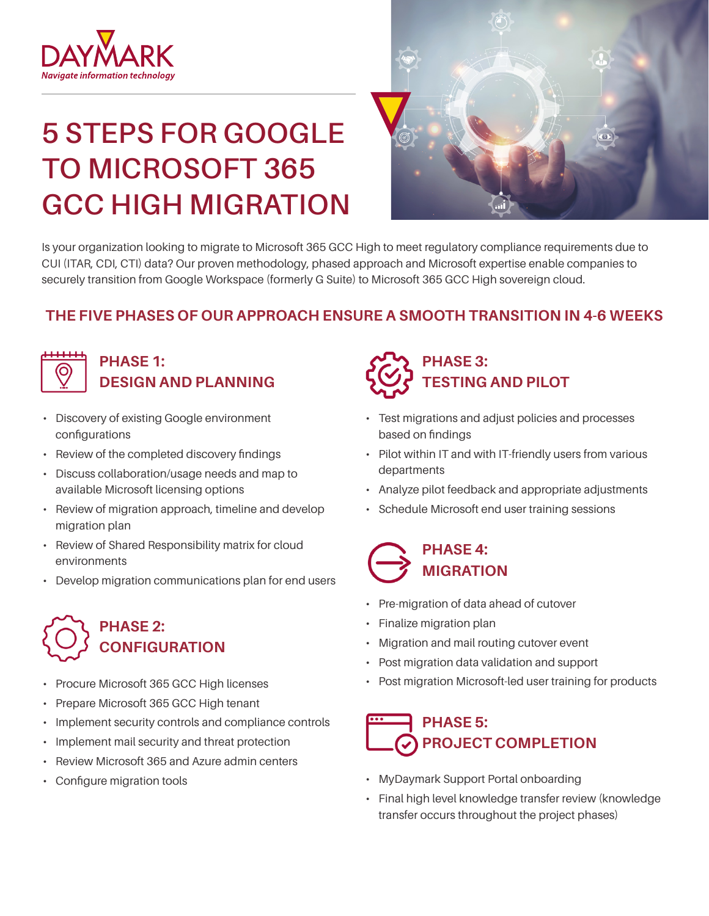

# **5 STEPS FOR GOOGLE TO MICROSOFT 365 GCC HIGH MIGRATION**



Is your organization looking to migrate to Microsoft 365 GCC High to meet regulatory compliance requirements due to CUI (ITAR, CDI, CTI) data? Our proven methodology, phased approach and Microsoft expertise enable companies to securely transition from Google Workspace (formerly G Suite) to Microsoft 365 GCC High sovereign cloud.

### **THE FIVE PHASES OF OUR APPROACH ENSURE A SMOOTH TRANSITION IN 4-6 WEEKS**



### **PHASE 1: DESIGN AND PLANNING**

- Discovery of existing Google environment configurations
- Review of the completed discovery findings
- Discuss collaboration/usage needs and map to available Microsoft licensing options
- Review of migration approach, timeline and develop migration plan
- Review of Shared Responsibility matrix for cloud environments
- Develop migration communications plan for end users

# **PHASE 2: CONFIGURATION**

- Procure Microsoft 365 GCC High licenses
- Prepare Microsoft 365 GCC High tenant
- Implement security controls and compliance controls
- Implement mail security and threat protection
- Review Microsoft 365 and Azure admin centers
- Configure migration tools

# **PHASE 3: TESTING AND PILOT**

- Test migrations and adjust policies and processes based on findings
- Pilot within IT and with IT-friendly users from various departments
- Analyze pilot feedback and appropriate adjustments
- Schedule Microsoft end user training sessions

### **PHASE 4: MIGRATION**

- Pre-migration of data ahead of cutover
- Finalize migration plan
- Migration and mail routing cutover event
- Post migration data validation and support
- Post migration Microsoft-led user training for products

## **PHASE 5: PROJECT COMPLETION**

- MyDaymark Support Portal onboarding
- Final high level knowledge transfer review (knowledge transfer occurs throughout the project phases)